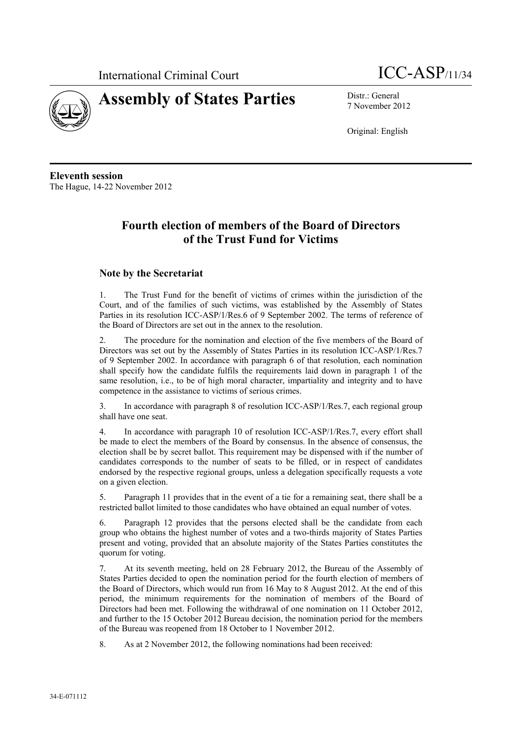



7 November 2012

Original: English

**Eleventh session**  The Hague, 14-22 November 2012

# **Fourth election of members of the Board of Directors of the Trust Fund for Victims**

# **Note by the Secretariat**

1. The Trust Fund for the benefit of victims of crimes within the jurisdiction of the Court, and of the families of such victims, was established by the Assembly of States Parties in its resolution ICC-ASP/1/Res.6 of 9 September 2002. The terms of reference of the Board of Directors are set out in the annex to the resolution.

2. The procedure for the nomination and election of the five members of the Board of Directors was set out by the Assembly of States Parties in its resolution ICC-ASP/1/Res.7 of 9 September 2002. In accordance with paragraph 6 of that resolution, each nomination shall specify how the candidate fulfils the requirements laid down in paragraph 1 of the same resolution, i.e., to be of high moral character, impartiality and integrity and to have competence in the assistance to victims of serious crimes.

3. In accordance with paragraph 8 of resolution ICC-ASP/1/Res.7, each regional group shall have one seat.

4. In accordance with paragraph 10 of resolution ICC-ASP/1/Res.7, every effort shall be made to elect the members of the Board by consensus. In the absence of consensus, the election shall be by secret ballot. This requirement may be dispensed with if the number of candidates corresponds to the number of seats to be filled, or in respect of candidates endorsed by the respective regional groups, unless a delegation specifically requests a vote on a given election.

5. Paragraph 11 provides that in the event of a tie for a remaining seat, there shall be a restricted ballot limited to those candidates who have obtained an equal number of votes.

6. Paragraph 12 provides that the persons elected shall be the candidate from each group who obtains the highest number of votes and a two-thirds majority of States Parties present and voting, provided that an absolute majority of the States Parties constitutes the quorum for voting.

7. At its seventh meeting, held on 28 February 2012, the Bureau of the Assembly of States Parties decided to open the nomination period for the fourth election of members of the Board of Directors, which would run from 16 May to 8 August 2012. At the end of this period, the minimum requirements for the nomination of members of the Board of Directors had been met. Following the withdrawal of one nomination on 11 October 2012, and further to the 15 October 2012 Bureau decision, the nomination period for the members of the Bureau was reopened from 18 October to 1 November 2012.

8. As at 2 November 2012, the following nominations had been received: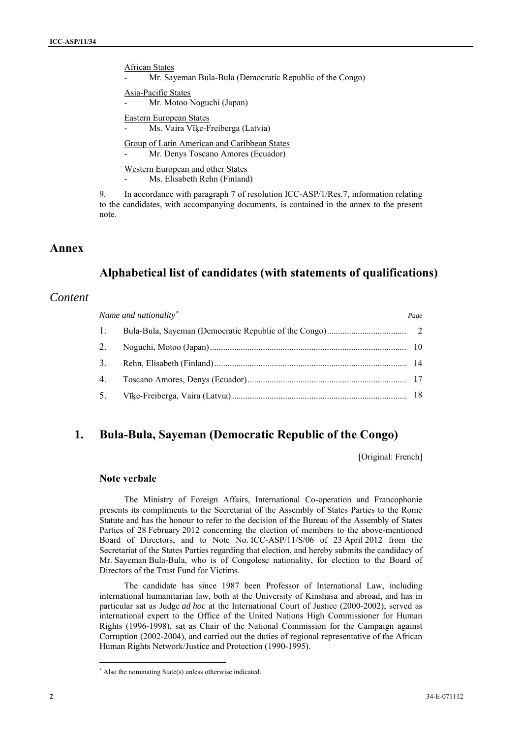African States

Mr. Sayeman Bula-Bula (Democratic Republic of the Congo)

Asia-Pacific States Mr. Motoo Noguchi (Japan)

Eastern European States Ms. Vaira Vīķe-Freiberga (Latvia)

Group of Latin American and Caribbean States Mr. Denys Toscano Amores (Ecuador)

Western European and other States Ms. Elisabeth Rehn (Finland)

9. In accordance with paragraph 7 of resolution ICC-ASP/1/Res.7, information relating to the candidates, with accompanying documents, is contained in the annex to the present note.

# **Annex**

# **Alphabetical list of candidates (with statements of qualifications)**

# *Content*

| Name and nationality* |  | Page |
|-----------------------|--|------|
| $\overline{1}$ .      |  |      |
|                       |  |      |
| 3.                    |  |      |
| 4.                    |  |      |
| 5.                    |  |      |

# **1. Bula-Bula, Sayeman (Democratic Republic of the Congo)**

[Original: French]

# **Note verbale**

The Ministry of Foreign Affairs, International Co-operation and Francophonie presents its compliments to the Secretariat of the Assembly of States Parties to the Rome Statute and has the honour to refer to the decision of the Bureau of the Assembly of States Parties of 28 February 2012 concerning the election of members to the above-mentioned Board of Directors, and to Note No. ICC-ASP/11/S/06 of 23 April 2012 from the Secretariat of the States Parties regarding that election, and hereby submits the candidacy of Mr. Sayeman Bula-Bula, who is of Congolese nationality, for election to the Board of Directors of the Trust Fund for Victims.

The candidate has since 1987 been Professor of International Law, including international humanitarian law, both at the University of Kinshasa and abroad, and has in particular sat as Judge *ad hoc* at the International Court of Justice (2000-2002), served as international expert to the Office of the United Nations High Commissioner for Human Rights (1996-1998), sat as Chair of the National Commission for the Campaign against Corruption (2002-2004), and carried out the duties of regional representative of the African Human Rights Network/Justice and Protection (1990-1995).

 $\overline{a}$ 

 Also the nominating State(s) unless otherwise indicated.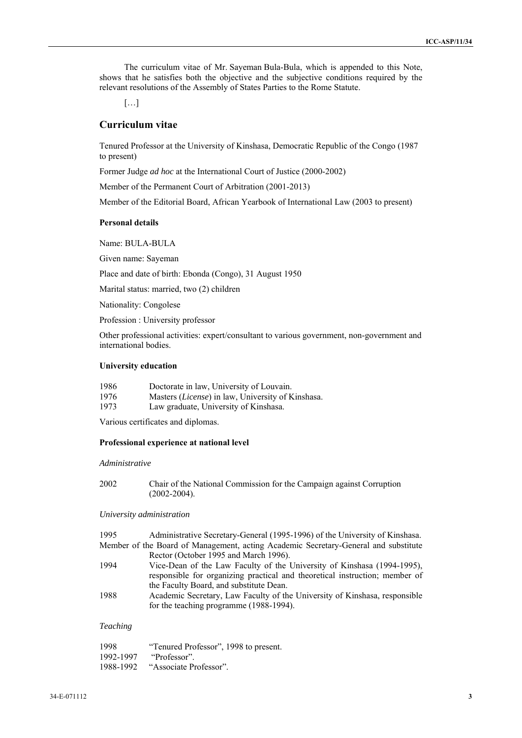The curriculum vitae of Mr. Sayeman Bula-Bula, which is appended to this Note, shows that he satisfies both the objective and the subjective conditions required by the relevant resolutions of the Assembly of States Parties to the Rome Statute.

[…]

## **Curriculum vitae**

Tenured Professor at the University of Kinshasa, Democratic Republic of the Congo (1987 to present)

Former Judge *ad hoc* at the International Court of Justice (2000-2002)

Member of the Permanent Court of Arbitration (2001-2013)

Member of the Editorial Board, African Yearbook of International Law (2003 to present)

## **Personal details**

Name: BULA-BULA

Given name: Sayeman

Place and date of birth: Ebonda (Congo), 31 August 1950

Marital status: married, two (2) children

Nationality: Congolese

Profession : University professor

Other professional activities: expert/consultant to various government, non-government and international bodies.

## **University education**

| 1986 | Doctorate in law, University of Louvain.                   |
|------|------------------------------------------------------------|
| 1976 | Masters ( <i>License</i> ) in law, University of Kinshasa. |
| 1973 | Law graduate, University of Kinshasa.                      |

Various certificates and diplomas.

#### **Professional experience at national level**

#### *Administrative*

| 2002 | Chair of the National Commission for the Campaign against Corruption |
|------|----------------------------------------------------------------------|
|      | $(2002 - 2004)$ .                                                    |

### *University administration*

1995 Administrative Secretary-General (1995-1996) of the University of Kinshasa. Member of the Board of Management, acting Academic Secretary-General and substitute Rector (October 1995 and March 1996). 1994 Vice-Dean of the Law Faculty of the University of Kinshasa (1994-1995), responsible for organizing practical and theoretical instruction; member of the Faculty Board, and substitute Dean.

1988 Academic Secretary, Law Faculty of the University of Kinshasa, responsible for the teaching programme (1988-1994).

### *Teaching*

| 1998      | "Tenured Professor", 1998 to present. |
|-----------|---------------------------------------|
| 1992-1997 | "Professor".                          |
| 1988-1992 | "Associate Professor".                |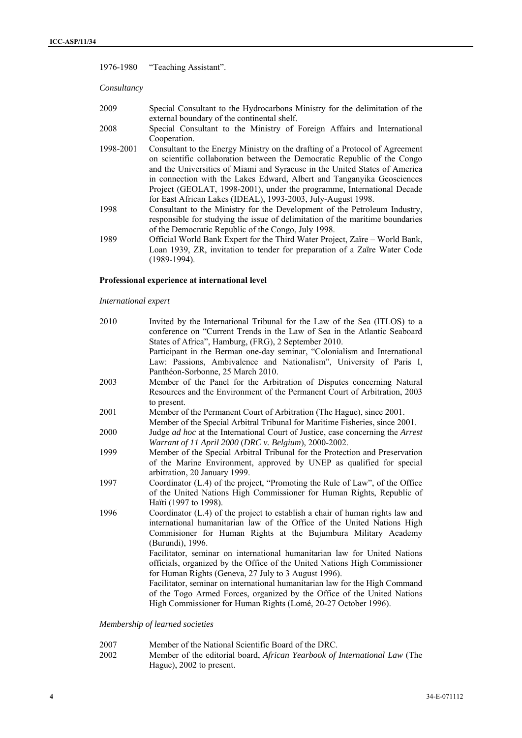|             | 1976-1980 "Teaching Assistant".                                                                                                                                                                                                                                                                                                                                                                                                                            |
|-------------|------------------------------------------------------------------------------------------------------------------------------------------------------------------------------------------------------------------------------------------------------------------------------------------------------------------------------------------------------------------------------------------------------------------------------------------------------------|
| Consultancy |                                                                                                                                                                                                                                                                                                                                                                                                                                                            |
| 2009        | Special Consultant to the Hydrocarbons Ministry for the delimitation of the<br>external boundary of the continental shelf.                                                                                                                                                                                                                                                                                                                                 |
| 2008        | Special Consultant to the Ministry of Foreign Affairs and International<br>Cooperation.                                                                                                                                                                                                                                                                                                                                                                    |
| 1998-2001   | Consultant to the Energy Ministry on the drafting of a Protocol of Agreement<br>on scientific collaboration between the Democratic Republic of the Congo<br>and the Universities of Miami and Syracuse in the United States of America<br>in connection with the Lakes Edward, Albert and Tanganyika Geosciences<br>Project (GEOLAT, 1998-2001), under the programme, International Decade<br>for East African Lakes (IDEAL), 1993-2003, July-August 1998. |
| 1998        | Consultant to the Ministry for the Development of the Petroleum Industry,<br>responsible for studying the issue of delimitation of the maritime boundaries<br>of the Democratic Republic of the Congo, July 1998.                                                                                                                                                                                                                                          |
| 1989        | Official World Bank Expert for the Third Water Project, Zaïre - World Bank,<br>Loan 1939, ZR, invitation to tender for preparation of a Zaïre Water Code<br>(1989-1994).                                                                                                                                                                                                                                                                                   |

## **Professional experience at international level**

## *International expert*

| 2010 | Invited by the International Tribunal for the Law of the Sea (ITLOS) to a<br>conference on "Current Trends in the Law of Sea in the Atlantic Seaboard<br>States of Africa", Hamburg, (FRG), 2 September 2010. |
|------|---------------------------------------------------------------------------------------------------------------------------------------------------------------------------------------------------------------|
|      | Participant in the Berman one-day seminar, "Colonialism and International<br>Law: Passions, Ambivalence and Nationalism", University of Paris I,                                                              |
|      | Panthéon-Sorbonne, 25 March 2010.                                                                                                                                                                             |
| 2003 | Member of the Panel for the Arbitration of Disputes concerning Natural<br>Resources and the Environment of the Permanent Court of Arbitration, 2003<br>to present.                                            |
| 2001 | Member of the Permanent Court of Arbitration (The Hague), since 2001.                                                                                                                                         |
|      | Member of the Special Arbitral Tribunal for Maritime Fisheries, since 2001.                                                                                                                                   |
| 2000 | Judge <i>ad hoc</i> at the International Court of Justice, case concerning the Arrest                                                                                                                         |
|      | Warrant of 11 April 2000 (DRC v. Belgium), 2000-2002.                                                                                                                                                         |
| 1999 | Member of the Special Arbitral Tribunal for the Protection and Preservation                                                                                                                                   |
|      | of the Marine Environment, approved by UNEP as qualified for special                                                                                                                                          |
|      | arbitration, 20 January 1999.                                                                                                                                                                                 |
| 1997 | Coordinator (L.4) of the project, "Promoting the Rule of Law", of the Office                                                                                                                                  |
|      | of the United Nations High Commissioner for Human Rights, Republic of<br>Haïti (1997 to 1998).                                                                                                                |
| 1996 | Coordinator (L.4) of the project to establish a chair of human rights law and                                                                                                                                 |
|      | international humanitarian law of the Office of the United Nations High                                                                                                                                       |
|      | Commisioner for Human Rights at the Bujumbura Military Academy                                                                                                                                                |
|      | (Burundi), 1996.                                                                                                                                                                                              |
|      | Facilitator, seminar on international humanitarian law for United Nations                                                                                                                                     |
|      | officials, organized by the Office of the United Nations High Commissioner                                                                                                                                    |
|      | for Human Rights (Geneva, 27 July to 3 August 1996).                                                                                                                                                          |
|      | Facilitator, seminar on international humanitarian law for the High Command                                                                                                                                   |
|      | of the Togo Armed Forces, organized by the Office of the United Nations                                                                                                                                       |
|      | High Commissioner for Human Rights (Lomé, 20-27 October 1996).                                                                                                                                                |
|      |                                                                                                                                                                                                               |

*Membership of learned societies* 

- 2007 Member of the National Scientific Board of the DRC.
- 2002 Member of the editorial board, *African Yearbook of International Law* (The Hague), 2002 to present.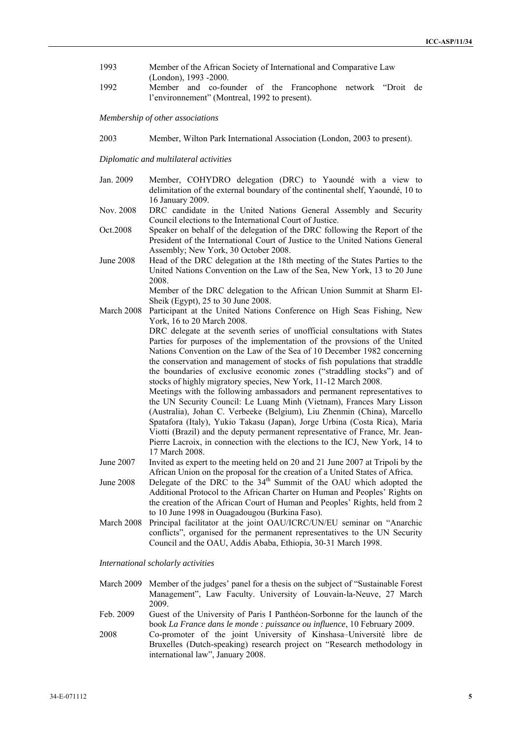- 1993 Member of the African Society of International and Comparative Law (London), 1993 -2000.
- 1992 Member and co-founder of the Francophone network "Droit de l'environnement" (Montreal, 1992 to present).

*Membership of other associations* 

2003 Member, Wilton Park International Association (London, 2003 to present).

*Diplomatic and multilateral activities* 

- Jan. 2009 Member, COHYDRO delegation (DRC) to Yaoundé with a view to delimitation of the external boundary of the continental shelf, Yaoundé, 10 to 16 January 2009.
- Nov. 2008 DRC candidate in the United Nations General Assembly and Security Council elections to the International Court of Justice.
- Oct.2008 Speaker on behalf of the delegation of the DRC following the Report of the President of the International Court of Justice to the United Nations General Assembly; New York, 30 October 2008.
- June 2008 Head of the DRC delegation at the 18th meeting of the States Parties to the United Nations Convention on the Law of the Sea, New York, 13 to 20 June 2008.

Member of the DRC delegation to the African Union Summit at Sharm El-Sheik (Egypt), 25 to 30 June 2008.

March 2008 Participant at the United Nations Conference on High Seas Fishing, New York, 16 to 20 March 2008.

> DRC delegate at the seventh series of unofficial consultations with States Parties for purposes of the implementation of the provsions of the United Nations Convention on the Law of the Sea of 10 December 1982 concerning the conservation and management of stocks of fish populations that straddle the boundaries of exclusive economic zones ("straddling stocks") and of stocks of highly migratory species, New York, 11-12 March 2008.

Meetings with the following ambassadors and permanent representatives to the UN Security Council: Le Luang Minh (Vietnam), Frances Mary Lisson (Australia), Johan C. Verbeeke (Belgium), Liu Zhenmin (China), Marcello Spatafora (Italy), Yukio Takasu (Japan), Jorge Urbina (Costa Rica), Maria Viotti (Brazil) and the deputy permanent representative of France, Mr. Jean-Pierre Lacroix, in connection with the elections to the ICJ, New York, 14 to 17 March 2008.

- June 2007 Invited as expert to the meeting held on 20 and 21 June 2007 at Tripoli by the African Union on the proposal for the creation of a United States of Africa.
- June 2008 Delegate of the DRC to the  $34<sup>th</sup>$  Summit of the OAU which adopted the Additional Protocol to the African Charter on Human and Peoples' Rights on the creation of the African Court of Human and Peoples' Rights, held from 2 to 10 June 1998 in Ouagadougou (Burkina Faso).
- March 2008 Principal facilitator at the joint OAU/ICRC/UN/EU seminar on "Anarchic conflicts", organised for the permanent representatives to the UN Security Council and the OAU, Addis Ababa, Ethiopia, 30-31 March 1998.

*International scholarly activities* 

- March 2009 Member of the judges' panel for a thesis on the subject of "Sustainable Forest Management", Law Faculty. University of Louvain-la-Neuve, 27 March 2009.
- Feb. 2009 Guest of the University of Paris I Panthéon-Sorbonne for the launch of the book *La France dans le monde : puissance ou influence*, 10 February 2009.
- 2008 Co-promoter of the joint University of Kinshasa–Université libre de Bruxelles (Dutch-speaking) research project on "Research methodology in international law", January 2008.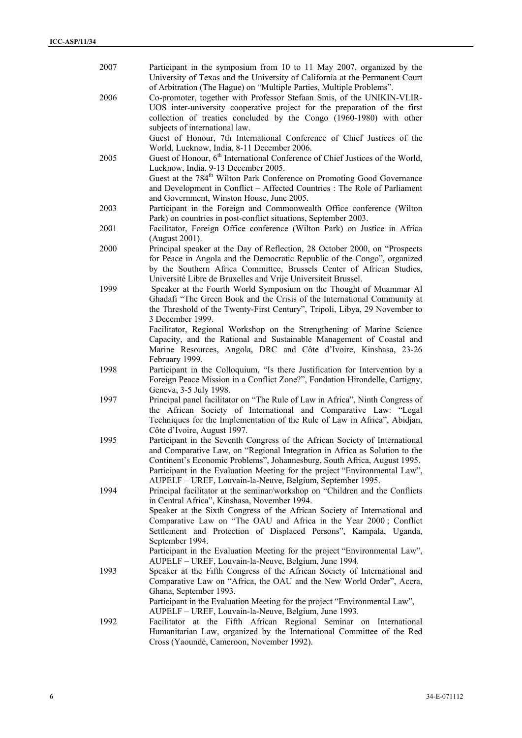| 2007 | Participant in the symposium from 10 to 11 May 2007, organized by the<br>University of Texas and the University of California at the Permanent Court                                                                                                                                                                                                                             |
|------|----------------------------------------------------------------------------------------------------------------------------------------------------------------------------------------------------------------------------------------------------------------------------------------------------------------------------------------------------------------------------------|
| 2006 | of Arbitration (The Hague) on "Multiple Parties, Multiple Problems".<br>Co-promoter, together with Professor Stefaan Smis, of the UNIKIN-VLIR-<br>UOS inter-university cooperative project for the preparation of the first                                                                                                                                                      |
|      | collection of treaties concluded by the Congo (1960-1980) with other<br>subjects of international law.<br>Guest of Honour, 7th International Conference of Chief Justices of the                                                                                                                                                                                                 |
| 2005 | World, Lucknow, India, 8-11 December 2006.<br>Guest of Honour, 6 <sup>th</sup> International Conference of Chief Justices of the World,<br>Lucknow, India, 9-13 December 2005.                                                                                                                                                                                                   |
|      | Guest at the 784 <sup>th</sup> Wilton Park Conference on Promoting Good Governance<br>and Development in Conflict - Affected Countries : The Role of Parliament<br>and Government, Winston House, June 2005.                                                                                                                                                                     |
| 2003 | Participant in the Foreign and Commonwealth Office conference (Wilton<br>Park) on countries in post-conflict situations, September 2003.                                                                                                                                                                                                                                         |
| 2001 | Facilitator, Foreign Office conference (Wilton Park) on Justice in Africa<br>(August 2001).                                                                                                                                                                                                                                                                                      |
| 2000 | Principal speaker at the Day of Reflection, 28 October 2000, on "Prospects<br>for Peace in Angola and the Democratic Republic of the Congo", organized<br>by the Southern Africa Committee, Brussels Center of African Studies,<br>Université Libre de Bruxelles and Vrije Universiteit Brussel.                                                                                 |
| 1999 | Speaker at the Fourth World Symposium on the Thought of Muammar Al<br>Ghadafi "The Green Book and the Crisis of the International Community at<br>the Threshold of the Twenty-First Century", Tripoli, Libya, 29 November to<br>3 December 1999.                                                                                                                                 |
|      | Facilitator, Regional Workshop on the Strengthening of Marine Science<br>Capacity, and the Rational and Sustainable Management of Coastal and<br>Marine Resources, Angola, DRC and Côte d'Ivoire, Kinshasa, 23-26<br>February 1999.                                                                                                                                              |
| 1998 | Participant in the Colloquium, "Is there Justification for Intervention by a<br>Foreign Peace Mission in a Conflict Zone?", Fondation Hirondelle, Cartigny,<br>Geneva, 3-5 July 1998.                                                                                                                                                                                            |
| 1997 | Principal panel facilitator on "The Rule of Law in Africa", Ninth Congress of<br>the African Society of International and Comparative Law: "Legal<br>Techniques for the Implementation of the Rule of Law in Africa", Abidjan,<br>Côte d'Ivoire, August 1997.                                                                                                                    |
| 1995 | Participant in the Seventh Congress of the African Society of International<br>and Comparative Law, on "Regional Integration in Africa as Solution to the<br>Continent's Economic Problems", Johannesburg, South Africa, August 1995.<br>Participant in the Evaluation Meeting for the project "Environmental Law",<br>AUPELF - UREF, Louvain-la-Neuve, Belgium, September 1995. |
| 1994 | Principal facilitator at the seminar/workshop on "Children and the Conflicts<br>in Central Africa", Kinshasa, November 1994.<br>Speaker at the Sixth Congress of the African Society of International and<br>Comparative Law on "The OAU and Africa in the Year 2000; Conflict<br>Settlement and Protection of Displaced Persons", Kampala, Uganda,<br>September 1994.           |
|      | Participant in the Evaluation Meeting for the project "Environmental Law",<br>AUPELF - UREF, Louvain-la-Neuve, Belgium, June 1994.                                                                                                                                                                                                                                               |
| 1993 | Speaker at the Fifth Congress of the African Society of International and<br>Comparative Law on "Africa, the OAU and the New World Order", Accra,<br>Ghana, September 1993.                                                                                                                                                                                                      |
|      | Participant in the Evaluation Meeting for the project "Environmental Law",<br>AUPELF - UREF, Louvain-la-Neuve, Belgium, June 1993.                                                                                                                                                                                                                                               |
| 1992 | Facilitator at the Fifth African Regional Seminar on International<br>Humanitarian Law, organized by the International Committee of the Red<br>Cross (Yaoundé, Cameroon, November 1992).                                                                                                                                                                                         |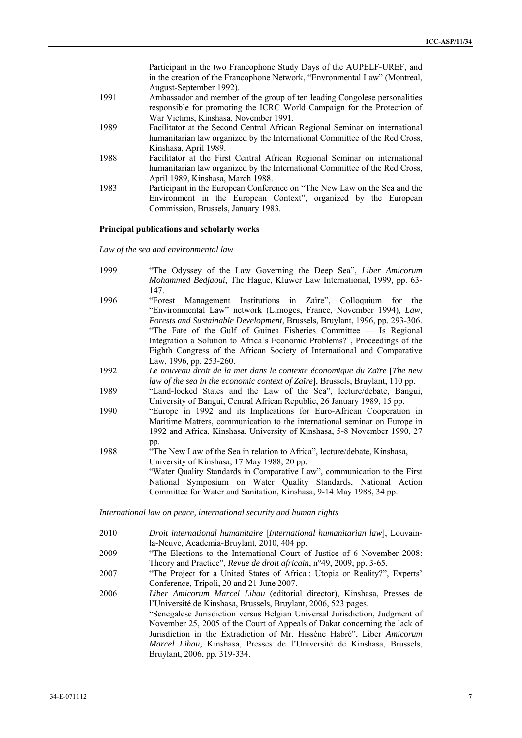|      | Participant in the two Francophone Study Days of the AUPELF-UREF, and       |
|------|-----------------------------------------------------------------------------|
|      | in the creation of the Francophone Network, "Envronmental Law" (Montreal,   |
|      | August-September 1992).                                                     |
| 1991 | Ambassador and member of the group of ten leading Congolese personalities   |
|      | responsible for promoting the ICRC World Campaign for the Protection of     |
|      | War Victims, Kinshasa, November 1991.                                       |
| 1989 | Facilitator at the Second Central African Regional Seminar on international |
|      | humanitarian law organized by the International Committee of the Red Cross, |
|      | Kinshasa, April 1989.                                                       |
| 1988 | Facilitator at the First Central African Regional Seminar on international  |
|      | humanitarian law organized by the International Committee of the Red Cross, |
|      | April 1989, Kinshasa, March 1988.                                           |
| 1983 | Participant in the European Conference on "The New Law on the Sea and the   |
|      | Environment in the European Context", organized by the European             |
|      | Commission, Brussels, January 1983.                                         |

## **Principal publications and scholarly works**

*Law of the sea and environmental law* 

| 1999 | "The Odyssey of the Law Governing the Deep Sea", Liber Amicorum<br>Mohammed Bedjaoui, The Hague, Kluwer Law International, 1999, pp. 63-<br>147.                                                                                                                                                                                                                                                                                                                            |
|------|-----------------------------------------------------------------------------------------------------------------------------------------------------------------------------------------------------------------------------------------------------------------------------------------------------------------------------------------------------------------------------------------------------------------------------------------------------------------------------|
| 1996 | "Forest Management Institutions in Zaire", Colloquium for the<br>"Environmental Law" network (Limoges, France, November 1994), Law,<br>Forests and Sustainable Development, Brussels, Bruylant, 1996, pp. 293-306.<br>"The Fate of the Gulf of Guinea Fisheries Committee — Is Regional<br>Integration a Solution to Africa's Economic Problems?", Proceedings of the<br>Eighth Congress of the African Society of International and Comparative<br>Law, 1996, pp. 253-260. |
| 1992 | Le nouveau droit de la mer dans le contexte économique du Zaïre [The new<br>law of the sea in the economic context of Zaïre], Brussels, Bruylant, 110 pp.                                                                                                                                                                                                                                                                                                                   |
| 1989 | "Land-locked States and the Law of the Sea", lecture/debate, Bangui,<br>University of Bangui, Central African Republic, 26 January 1989, 15 pp.                                                                                                                                                                                                                                                                                                                             |
| 1990 | "Europe in 1992 and its Implications for Euro-African Cooperation in<br>Maritime Matters, communication to the international seminar on Europe in<br>1992 and Africa, Kinshasa, University of Kinshasa, 5-8 November 1990, 27                                                                                                                                                                                                                                               |
| 1988 | pp.<br>"The New Law of the Sea in relation to Africa", lecture/debate, Kinshasa,<br>University of Kinshasa, 17 May 1988, 20 pp.<br>"Water Quality Standards in Comparative Law", communication to the First<br>National Symposium on Water Quality Standards, National Action<br>Committee for Water and Sanitation, Kinshasa, 9-14 May 1988, 34 pp.                                                                                                                        |

*International law on peace, international security and human rights* 

| 2010 | Droit international humanitaire [International humanitarian law], Louvain- |
|------|----------------------------------------------------------------------------|
|      | la-Neuve, Academia-Bruylant, 2010, 404 pp.                                 |

- 2009 "The Elections to the International Court of Justice of 6 November 2008: Theory and Practice", *Revue de droit africain*, n°49, 2009, pp. 3-65.
- 2007 "The Project for a United States of Africa : Utopia or Reality?", Experts' Conference, Tripoli, 20 and 21 June 2007.
- 2006 *Liber Amicorum Marcel Lihau* (editorial director), Kinshasa, Presses de l'Université de Kinshasa, Brussels, Bruylant, 2006, 523 pages. "Senegalese Jurisdiction versus Belgian Universal Jurisdiction, Judgment of November 25, 2005 of the Court of Appeals of Dakar concerning the lack of Jurisdiction in the Extradiction of Mr. Hissène Habré", Liber *Amicorum Marcel Lihau*, Kinshasa, Presses de l'Université de Kinshasa, Brussels, Bruylant, 2006, pp. 319-334.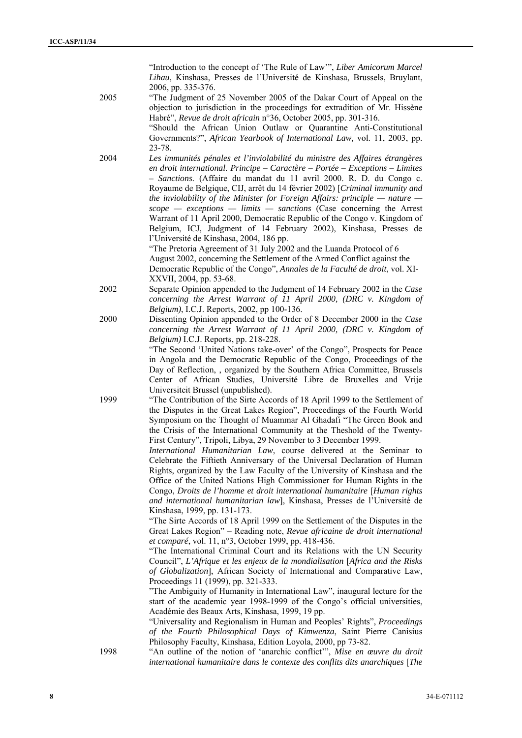"Introduction to the concept of 'The Rule of Law'", *Liber Amicorum Marcel Lihau*, Kinshasa, Presses de l'Université de Kinshasa, Brussels, Bruylant, 2006, pp. 335-376.

2005 "The Judgment of 25 November 2005 of the Dakar Court of Appeal on the objection to jurisdiction in the proceedings for extradition of Mr. Hissène Habré", *Revue de droit africain* n°36, October 2005, pp. 301-316.

"Should the African Union Outlaw or Quarantine Anti-Constitutional Governments?", *African Yearbook of International Law,* vol. 11, 2003, pp. 23-78.

2004 *Les immunités pénales et l'inviolabilité du ministre des Affaires étrangères en droit international. Principe – Caractère – Portée – Exceptions – Limites – Sanctions.* (Affaire du mandat du 11 avril 2000. R. D. du Congo c. Royaume de Belgique, CIJ, arrêt du 14 février 2002) [*Criminal immunity and the inviolability of the Minister for Foreign Affairs: principle — nature scope — exceptions — limits — sanctions* (Case concerning the Arrest Warrant of 11 April 2000, Democratic Republic of the Congo v. Kingdom of Belgium, ICJ, Judgment of 14 February 2002), Kinshasa, Presses de l'Université de Kinshasa, 2004, 186 pp.

"The Pretoria Agreement of 31 July 2002 and the Luanda Protocol of 6 August 2002, concerning the Settlement of the Armed Conflict against the Democratic Republic of the Congo", *Annales de la Faculté de droit*, vol. XI-XXVII, 2004, pp. 53-68.

2002 Separate Opinion appended to the Judgment of 14 February 2002 in the *Case concerning the Arrest Warrant of 11 April 2000, (DRC v. Kingdom of Belgium)*, I.C.J. Reports, 2002, pp 100-136.

2000 Dissenting Opinion appended to the Order of 8 December 2000 in the *Case concerning the Arrest Warrant of 11 April 2000, (DRC v. Kingdom of Belgium)* I.C.J. Reports, pp. 218-228.

> "The Second 'United Nations take-over' of the Congo", Prospects for Peace in Angola and the Democratic Republic of the Congo, Proceedings of the Day of Reflection, , organized by the Southern Africa Committee, Brussels Center of African Studies, Université Libre de Bruxelles and Vrije Universiteit Brussel (unpublished).

1999 "The Contribution of the Sirte Accords of 18 April 1999 to the Settlement of the Disputes in the Great Lakes Region", Proceedings of the Fourth World Symposium on the Thought of Muammar Al Ghadafi "The Green Book and the Crisis of the International Community at the Theshold of the Twenty-First Century", Tripoli, Libya, 29 November to 3 December 1999.

> *International Humanitarian Law*, course delivered at the Seminar to Celebrate the Fiftieth Anniversary of the Universal Declaration of Human Rights, organized by the Law Faculty of the University of Kinshasa and the Office of the United Nations High Commissioner for Human Rights in the Congo, *Droits de l'homme et droit international humanitaire* [*Human rights and international humanitarian law*], Kinshasa, Presses de l'Université de Kinshasa, 1999, pp. 131-173.

> "The Sirte Accords of 18 April 1999 on the Settlement of the Disputes in the Great Lakes Region" – Reading note, *Revue africaine de droit international et comparé*, vol. 11, n°3, October 1999, pp. 418-436.

> "The International Criminal Court and its Relations with the UN Security Council", *L'Afrique et les enjeux de la mondialisation* [*Africa and the Risks of Globalization*], African Society of International and Comparative Law, Proceedings 11 (1999), pp. 321-333.

> "The Ambiguity of Humanity in International Law", inaugural lecture for the start of the academic year 1998-1999 of the Congo's official universities, Académie des Beaux Arts, Kinshasa, 1999, 19 pp.

> "Universality and Regionalism in Human and Peoples' Rights", *Proceedings of the Fourth Philosophical Days of Kimwenza*, Saint Pierre Canisius Philosophy Faculty, Kinshasa, Edition Loyola, 2000, pp 73-82.

1998 "An outline of the notion of 'anarchic conflict'", *Mise en œuvre du droit international humanitaire dans le contexte des conflits dits anarchiques* [*The*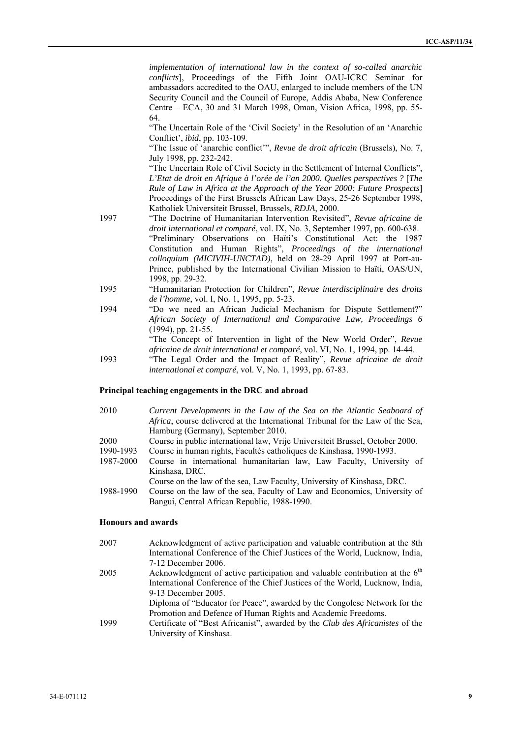*implementation of international law in the context of so-called anarchic conflicts*], Proceedings of the Fifth Joint OAU-ICRC Seminar for ambassadors accredited to the OAU, enlarged to include members of the UN Security Council and the Council of Europe, Addis Ababa, New Conference Centre – ECA, 30 and 31 March 1998, Oman, Vision Africa, 1998, pp. 55- 64.

"The Uncertain Role of the 'Civil Society' in the Resolution of an 'Anarchic Conflict', *ibid*, pp. 103-109.

"The Issue of 'anarchic conflict'", *Revue de droit africain* (Brussels), No. 7, July 1998, pp. 232-242.

"The Uncertain Role of Civil Society in the Settlement of Internal Conflicts", *L'Etat de droit en Afrique à l'orée de l'an 2000. Quelles perspectives ?* [*The Rule of Law in Africa at the Approach of the Year 2000: Future Prospects*] Proceedings of the First Brussels African Law Days, 25-26 September 1998, Katholiek Universiteit Brussel, Brussels, *RDJA*, 2000.

- 1997 "The Doctrine of Humanitarian Intervention Revisited", *Revue africaine de droit international et comparé*, vol. IX, No. 3, September 1997, pp. 600-638. "Preliminary Observations on Haïti's Constitutional Act: the 1987 Constitution and Human Rights", *Proceedings of the international colloquium (MICIVIH-UNCTAD)*, held on 28-29 April 1997 at Port-au-Prince, published by the International Civilian Mission to Haïti, OAS/UN, 1998, pp. 29-32.
- 1995 "Humanitarian Protection for Children", *Revue interdisciplinaire des droits de l'homme*, vol. I, No. 1, 1995, pp. 5-23.
- 1994 "Do we need an African Judicial Mechanism for Dispute Settlement?" *African Society of International and Comparative Law, Proceedings 6* (1994), pp. 21-55. "The Concept of Intervention in light of the New World Order", *Revue africaine de droit international et comparé*, vol. VI, No. 1, 1994, pp. 14-44.
- 1993 "The Legal Order and the Impact of Reality", *Revue africaine de droit international et comparé*, vol. V, No. 1, 1993, pp. 67-83.

#### **Principal teaching engagements in the DRC and abroad**

- 2010 *Current Developments in the Law of the Sea on the Atlantic Seaboard of Africa*, course delivered at the International Tribunal for the Law of the Sea, Hamburg (Germany), September 2010. 2000 Course in public international law, Vrije Universiteit Brussel, October 2000.
- 1990-1993 Course in human rights, Facultés catholiques de Kinshasa, 1990-1993.
- 1987-2000 Course in international humanitarian law, Law Faculty, University of Kinshasa, DRC.
	- Course on the law of the sea, Law Faculty, University of Kinshasa, DRC.
- 1988-1990 Course on the law of the sea, Faculty of Law and Economics, University of Bangui, Central African Republic, 1988-1990.

## **Honours and awards**

| 2007 | Acknowledgment of active participation and valuable contribution at the 8th   |
|------|-------------------------------------------------------------------------------|
|      | International Conference of the Chief Justices of the World, Lucknow, India,  |
|      | 7-12 December 2006.                                                           |
| 2005 | Acknowledgment of active participation and valuable contribution at the $6th$ |
|      | International Conference of the Chief Justices of the World, Lucknow, India,  |
|      | 9-13 December 2005.                                                           |
|      | Diploma of "Educator for Peace", awarded by the Congolese Network for the     |
|      | Promotion and Defence of Human Rights and Academic Freedoms.                  |
| 1999 | Certificate of "Best Africanist", awarded by the Club des Africanistes of the |
|      | University of Kinshasa.                                                       |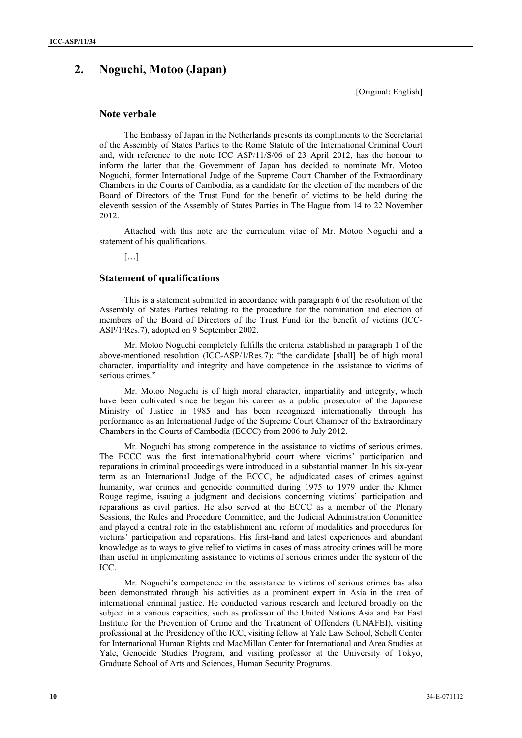# **2. Noguchi, Motoo (Japan)**

[Original: English]

## **Note verbale**

The Embassy of Japan in the Netherlands presents its compliments to the Secretariat of the Assembly of States Parties to the Rome Statute of the International Criminal Court and, with reference to the note ICC ASP/11/S/06 of 23 April 2012, has the honour to inform the latter that the Government of Japan has decided to nominate Mr. Motoo Noguchi, former International Judge of the Supreme Court Chamber of the Extraordinary Chambers in the Courts of Cambodia, as a candidate for the election of the members of the Board of Directors of the Trust Fund for the benefit of victims to be held during the eleventh session of the Assembly of States Parties in The Hague from 14 to 22 November 2012.

Attached with this note are the curriculum vitae of Mr. Motoo Noguchi and a statement of his qualifications.

 $[...]$ 

## **Statement of qualifications**

This is a statement submitted in accordance with paragraph 6 of the resolution of the Assembly of States Parties relating to the procedure for the nomination and election of members of the Board of Directors of the Trust Fund for the benefit of victims (ICC-ASP/1/Res.7), adopted on 9 September 2002.

Mr. Motoo Noguchi completely fulfills the criteria established in paragraph 1 of the above-mentioned resolution (ICC-ASP/1/Res.7): "the candidate [shall] be of high moral character, impartiality and integrity and have competence in the assistance to victims of serious crimes."

Mr. Motoo Noguchi is of high moral character, impartiality and integrity, which have been cultivated since he began his career as a public prosecutor of the Japanese Ministry of Justice in 1985 and has been recognized internationally through his performance as an International Judge of the Supreme Court Chamber of the Extraordinary Chambers in the Courts of Cambodia (ECCC) from 2006 to July 2012.

Mr. Noguchi has strong competence in the assistance to victims of serious crimes. The ECCC was the first international/hybrid court where victims' participation and reparations in criminal proceedings were introduced in a substantial manner. In his six-year term as an International Judge of the ECCC, he adjudicated cases of crimes against humanity, war crimes and genocide committed during 1975 to 1979 under the Khmer Rouge regime, issuing a judgment and decisions concerning victims' participation and reparations as civil parties. He also served at the ECCC as a member of the Plenary Sessions, the Rules and Procedure Committee, and the Judicial Administration Committee and played a central role in the establishment and reform of modalities and procedures for victims' participation and reparations. His first-hand and latest experiences and abundant knowledge as to ways to give relief to victims in cases of mass atrocity crimes will be more than useful in implementing assistance to victims of serious crimes under the system of the ICC.

Mr. Noguchi's competence in the assistance to victims of serious crimes has also been demonstrated through his activities as a prominent expert in Asia in the area of international criminal justice. He conducted various research and lectured broadly on the subject in a various capacities, such as professor of the United Nations Asia and Far East Institute for the Prevention of Crime and the Treatment of Offenders (UNAFEI), visiting professional at the Presidency of the ICC, visiting fellow at Yale Law School, Schell Center for International Human Rights and MacMillan Center for International and Area Studies at Yale, Genocide Studies Program, and visiting professor at the University of Tokyo, Graduate School of Arts and Sciences, Human Security Programs.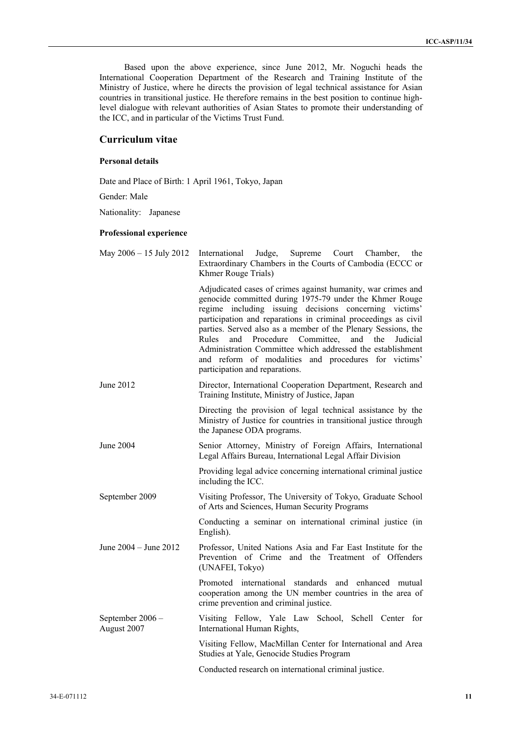Based upon the above experience, since June 2012, Mr. Noguchi heads the International Cooperation Department of the Research and Training Institute of the Ministry of Justice, where he directs the provision of legal technical assistance for Asian countries in transitional justice. He therefore remains in the best position to continue highlevel dialogue with relevant authorities of Asian States to promote their understanding of the ICC, and in particular of the Victims Trust Fund.

# **Curriculum vitae**

## **Personal details**

Date and Place of Birth: 1 April 1961, Tokyo, Japan

Gender: Male

Nationality: Japanese

#### **Professional experience**

| May 2006 - 15 July 2012         | Supreme<br>Judge,<br>International<br>Court<br>Chamber,<br>the<br>Extraordinary Chambers in the Courts of Cambodia (ECCC or<br>Khmer Rouge Trials)                                                                                                                                                                                                                                                                                                                                                                                          |
|---------------------------------|---------------------------------------------------------------------------------------------------------------------------------------------------------------------------------------------------------------------------------------------------------------------------------------------------------------------------------------------------------------------------------------------------------------------------------------------------------------------------------------------------------------------------------------------|
|                                 | Adjudicated cases of crimes against humanity, war crimes and<br>genocide committed during 1975-79 under the Khmer Rouge<br>regime including issuing decisions concerning victims'<br>participation and reparations in criminal proceedings as civil<br>parties. Served also as a member of the Plenary Sessions, the<br>Rules<br>and<br>Procedure Committee, and the<br>Judicial<br>Administration Committee which addressed the establishment<br>and reform of modalities<br>and procedures for victims'<br>participation and reparations. |
| June 2012                       | Director, International Cooperation Department, Research and<br>Training Institute, Ministry of Justice, Japan                                                                                                                                                                                                                                                                                                                                                                                                                              |
|                                 | Directing the provision of legal technical assistance by the<br>Ministry of Justice for countries in transitional justice through<br>the Japanese ODA programs.                                                                                                                                                                                                                                                                                                                                                                             |
| <b>June 2004</b>                | Senior Attorney, Ministry of Foreign Affairs, International<br>Legal Affairs Bureau, International Legal Affair Division                                                                                                                                                                                                                                                                                                                                                                                                                    |
|                                 | Providing legal advice concerning international criminal justice<br>including the ICC.                                                                                                                                                                                                                                                                                                                                                                                                                                                      |
| September 2009                  | Visiting Professor, The University of Tokyo, Graduate School<br>of Arts and Sciences, Human Security Programs                                                                                                                                                                                                                                                                                                                                                                                                                               |
|                                 | Conducting a seminar on international criminal justice (in<br>English).                                                                                                                                                                                                                                                                                                                                                                                                                                                                     |
| June 2004 - June 2012           | Professor, United Nations Asia and Far East Institute for the<br>Prevention of Crime and the Treatment of Offenders<br>(UNAFEI, Tokyo)                                                                                                                                                                                                                                                                                                                                                                                                      |
|                                 | Promoted international standards and enhanced mutual<br>cooperation among the UN member countries in the area of<br>crime prevention and criminal justice.                                                                                                                                                                                                                                                                                                                                                                                  |
| September 2006 -<br>August 2007 | School, Schell Center for<br>Visiting Fellow, Yale Law<br>International Human Rights,                                                                                                                                                                                                                                                                                                                                                                                                                                                       |
|                                 | Visiting Fellow, MacMillan Center for International and Area<br>Studies at Yale, Genocide Studies Program                                                                                                                                                                                                                                                                                                                                                                                                                                   |
|                                 | Conducted research on international criminal justice.                                                                                                                                                                                                                                                                                                                                                                                                                                                                                       |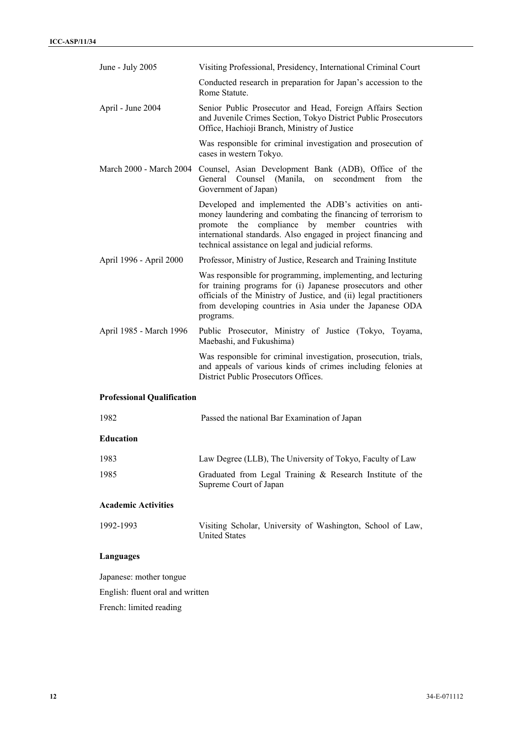| June - July 2005                  | Visiting Professional, Presidency, International Criminal Court                                                                                                                                                                                                                                              |
|-----------------------------------|--------------------------------------------------------------------------------------------------------------------------------------------------------------------------------------------------------------------------------------------------------------------------------------------------------------|
|                                   | Conducted research in preparation for Japan's accession to the<br>Rome Statute.                                                                                                                                                                                                                              |
| April - June 2004                 | Senior Public Prosecutor and Head, Foreign Affairs Section<br>and Juvenile Crimes Section, Tokyo District Public Prosecutors<br>Office, Hachioji Branch, Ministry of Justice                                                                                                                                 |
|                                   | Was responsible for criminal investigation and prosecution of<br>cases in western Tokyo.                                                                                                                                                                                                                     |
| March 2000 - March 2004           | Counsel, Asian Development Bank (ADB), Office of the<br>General Counsel (Manila, on secondment from<br>the<br>Government of Japan)                                                                                                                                                                           |
|                                   | Developed and implemented the ADB's activities on anti-<br>money laundering and combating the financing of terrorism to<br>promote<br>the<br>compliance by member countries<br>with<br>international standards. Also engaged in project financing and<br>technical assistance on legal and judicial reforms. |
| April 1996 - April 2000           | Professor, Ministry of Justice, Research and Training Institute                                                                                                                                                                                                                                              |
|                                   | Was responsible for programming, implementing, and lecturing<br>for training programs for (i) Japanese prosecutors and other<br>officials of the Ministry of Justice, and (ii) legal practitioners<br>from developing countries in Asia under the Japanese ODA<br>programs.                                  |
| April 1985 - March 1996           | Public Prosecutor, Ministry of Justice (Tokyo, Toyama,<br>Maebashi, and Fukushima)                                                                                                                                                                                                                           |
|                                   | Was responsible for criminal investigation, prosecution, trials,<br>and appeals of various kinds of crimes including felonies at<br>District Public Prosecutors Offices.                                                                                                                                     |
| <b>Professional Qualification</b> |                                                                                                                                                                                                                                                                                                              |
| 1982                              | Passed the national Bar Examination of Japan                                                                                                                                                                                                                                                                 |
| <b>Education</b>                  |                                                                                                                                                                                                                                                                                                              |
| 1983                              | Law Degree (LLB), The University of Tokyo, Faculty of Law                                                                                                                                                                                                                                                    |
| 1985                              | Graduated from Legal Training & Research Institute of the<br>Supreme Court of Japan                                                                                                                                                                                                                          |
| <b>Academic Activities</b>        |                                                                                                                                                                                                                                                                                                              |
| 1992-1993                         | Visiting Scholar, University of Washington, School of Law,<br><b>United States</b>                                                                                                                                                                                                                           |
| <b>Languages</b>                  |                                                                                                                                                                                                                                                                                                              |
| Japanese: mother tongue           |                                                                                                                                                                                                                                                                                                              |
| English: fluent oral and written  |                                                                                                                                                                                                                                                                                                              |
| French: limited reading           |                                                                                                                                                                                                                                                                                                              |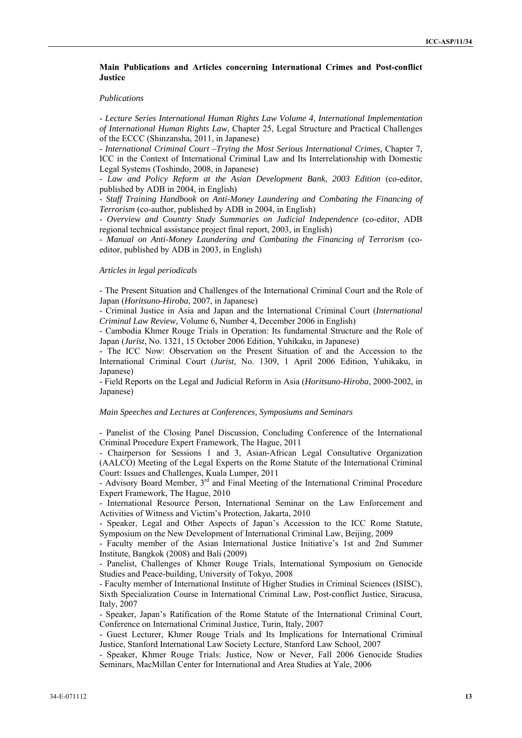## **Main Publications and Articles concerning International Crimes and Post-conflict Justice**

#### *Publications*

- *Lecture Series International Human Rights Law Volume 4, International Implementation of International Human Rights Law,* Chapter 25, Legal Structure and Practical Challenges of the ECCC (Shinzansha, 2011, in Japanese)

- *International Criminal Court –Trying the Most Serious International Crimes*, Chapter 7, ICC in the Context of International Criminal Law and Its Interrelationship with Domestic Legal Systems (Toshindo, 2008, in Japanese)

- *Law and Policy Reform at the Asian Development Bank, 2003 Edition* (co-editor, published by ADB in 2004, in English)

- *Staff Training Handbook on Anti-Money Laundering and Combating the Financing of Terrorism* (co-author, published by ADB in 2004, in English)

- *Overview and Country Study Summaries on Judicial Independence* (co-editor, ADB regional technical assistance project final report, 2003, in English)

- *Manual on Anti-Money Laundering and Combating the Financing of Terrorism* (coeditor, published by ADB in 2003, in English)

#### *Articles in legal periodicals*

- The Present Situation and Challenges of the International Criminal Court and the Role of Japan (*Horitsuno-Hiroba*, 2007, in Japanese)

- Criminal Justice in Asia and Japan and the International Criminal Court (*International Criminal Law Review*, Volume 6, Number 4, December 2006 in English)

- Cambodia Khmer Rouge Trials in Operation: Its fundamental Structure and the Role of Japan (*Jurist*, No. 1321, 15 October 2006 Edition, Yuhikaku, in Japanese)

- The ICC Now: Observation on the Present Situation of and the Accession to the International Criminal Court (*Jurist*, No. 1309, 1 April 2006 Edition, Yuhikaku, in Japanese)

- Field Reports on the Legal and Judicial Reform in Asia (*Horitsuno-Hiroba*, 2000-2002, in Japanese)

#### *Main Speeches and Lectures at Conferences, Symposiums and Seminars*

- Panelist of the Closing Panel Discussion, Concluding Conference of the International Criminal Procedure Expert Framework, The Hague, 2011

- Chairperson for Sessions 1 and 3, Asian-African Legal Consultative Organization (AALCO) Meeting of the Legal Experts on the Rome Statute of the International Criminal Court: Issues and Challenges, Kuala Lumper, 2011

- Advisory Board Member, 3<sup>rd</sup> and Final Meeting of the International Criminal Procedure Expert Framework, The Hague, 2010

- International Resource Person, International Seminar on the Law Enforcement and Activities of Witness and Victim's Protection, Jakarta, 2010

- Speaker, Legal and Other Aspects of Japan's Accession to the ICC Rome Statute, Symposium on the New Development of International Criminal Law, Beijing, 2009

- Faculty member of the Asian International Justice Initiative's 1st and 2nd Summer Institute, Bangkok (2008) and Bali (2009)

- Panelist, Challenges of Khmer Rouge Trials, International Symposium on Genocide Studies and Peace-building, University of Tokyo, 2008

- Faculty member of International Institute of Higher Studies in Criminal Sciences (ISISC), Sixth Specialization Course in International Criminal Law, Post-conflict Justice, Siracusa, Italy, 2007

- Speaker, Japan's Ratification of the Rome Statute of the International Criminal Court, Conference on International Criminal Justice, Turin, Italy, 2007

- Guest Lecturer, Khmer Rouge Trials and Its Implications for International Criminal Justice, Stanford International Law Society Lecture, Stanford Law School, 2007

- Speaker, Khmer Rouge Trials: Justice, Now or Never, Fall 2006 Genocide Studies Seminars, MacMillan Center for International and Area Studies at Yale, 2006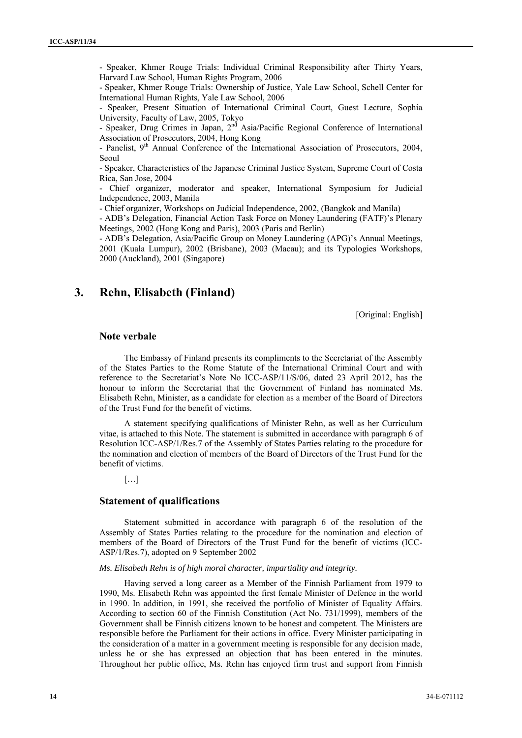- Speaker, Khmer Rouge Trials: Individual Criminal Responsibility after Thirty Years, Harvard Law School, Human Rights Program, 2006

- Speaker, Khmer Rouge Trials: Ownership of Justice, Yale Law School, Schell Center for International Human Rights, Yale Law School, 2006

Speaker, Present Situation of International Criminal Court, Guest Lecture, Sophia University, Faculty of Law, 2005, Tokyo

- Speaker, Drug Crimes in Japan, 2<sup>nd</sup> Asia/Pacific Regional Conference of International Association of Prosecutors, 2004, Hong Kong

- Panelist, 9<sup>th</sup> Annual Conference of the International Association of Prosecutors, 2004, Seoul

- Speaker, Characteristics of the Japanese Criminal Justice System, Supreme Court of Costa Rica, San Jose, 2004

- Chief organizer, moderator and speaker, International Symposium for Judicial Independence, 2003, Manila

- Chief organizer, Workshops on Judicial Independence, 2002, (Bangkok and Manila)

- ADB's Delegation, Financial Action Task Force on Money Laundering (FATF)'s Plenary Meetings, 2002 (Hong Kong and Paris), 2003 (Paris and Berlin)

- ADB's Delegation, Asia/Pacific Group on Money Laundering (APG)'s Annual Meetings, 2001 (Kuala Lumpur), 2002 (Brisbane), 2003 (Macau); and its Typologies Workshops, 2000 (Auckland), 2001 (Singapore)

# **3. Rehn, Elisabeth (Finland)**

[Original: English]

## **Note verbale**

The Embassy of Finland presents its compliments to the Secretariat of the Assembly of the States Parties to the Rome Statute of the International Criminal Court and with reference to the Secretariat's Note No ICC-ASP/11/S/06, dated 23 April 2012, has the honour to inform the Secretariat that the Government of Finland has nominated Ms. Elisabeth Rehn, Minister, as a candidate for election as a member of the Board of Directors of the Trust Fund for the benefit of victims.

A statement specifying qualifications of Minister Rehn, as well as her Curriculum vitae, is attached to this Note. The statement is submitted in accordance with paragraph 6 of Resolution ICC-ASP/1/Res.7 of the Assembly of States Parties relating to the procedure for the nomination and election of members of the Board of Directors of the Trust Fund for the benefit of victims.

[…]

## **Statement of qualifications**

Statement submitted in accordance with paragraph 6 of the resolution of the Assembly of States Parties relating to the procedure for the nomination and election of members of the Board of Directors of the Trust Fund for the benefit of victims (ICC-ASP/1/Res.7), adopted on 9 September 2002

#### *Ms. Elisabeth Rehn is of high moral character, impartiality and integrity.*

Having served a long career as a Member of the Finnish Parliament from 1979 to 1990, Ms. Elisabeth Rehn was appointed the first female Minister of Defence in the world in 1990. In addition, in 1991, she received the portfolio of Minister of Equality Affairs. According to section 60 of the Finnish Constitution (Act No. 731/1999), members of the Government shall be Finnish citizens known to be honest and competent. The Ministers are responsible before the Parliament for their actions in office. Every Minister participating in the consideration of a matter in a government meeting is responsible for any decision made, unless he or she has expressed an objection that has been entered in the minutes. Throughout her public office, Ms. Rehn has enjoyed firm trust and support from Finnish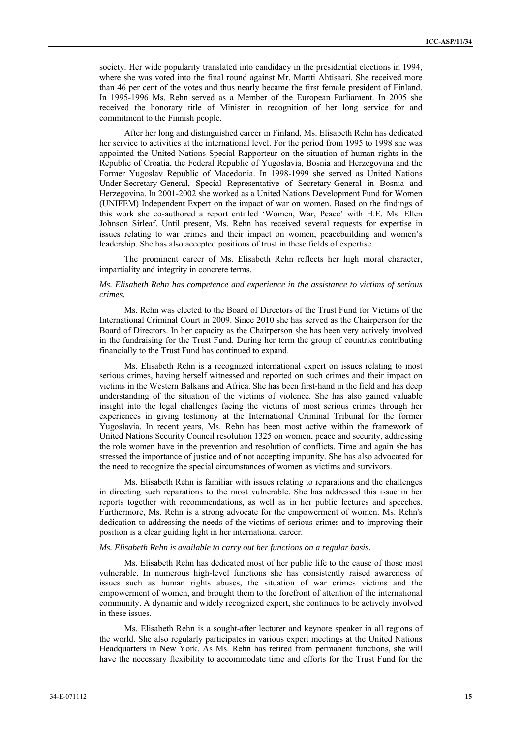society. Her wide popularity translated into candidacy in the presidential elections in 1994, where she was voted into the final round against Mr. Martti Ahtisaari. She received more than 46 per cent of the votes and thus nearly became the first female president of Finland. In 1995-1996 Ms. Rehn served as a Member of the European Parliament. In 2005 she received the honorary title of Minister in recognition of her long service for and commitment to the Finnish people.

After her long and distinguished career in Finland, Ms. Elisabeth Rehn has dedicated her service to activities at the international level. For the period from 1995 to 1998 she was appointed the United Nations Special Rapporteur on the situation of human rights in the Republic of Croatia, the Federal Republic of Yugoslavia, Bosnia and Herzegovina and the Former Yugoslav Republic of Macedonia. In 1998-1999 she served as United Nations Under-Secretary-General, Special Representative of Secretary-General in Bosnia and Herzegovina. In 2001-2002 she worked as a United Nations Development Fund for Women (UNIFEM) Independent Expert on the impact of war on women. Based on the findings of this work she co-authored a report entitled 'Women, War, Peace' with H.E. Ms. Ellen Johnson Sirleaf. Until present, Ms. Rehn has received several requests for expertise in issues relating to war crimes and their impact on women, peacebuilding and women's leadership. She has also accepted positions of trust in these fields of expertise.

The prominent career of Ms. Elisabeth Rehn reflects her high moral character, impartiality and integrity in concrete terms.

## *Ms. Elisabeth Rehn has competence and experience in the assistance to victims of serious crimes.*

Ms. Rehn was elected to the Board of Directors of the Trust Fund for Victims of the International Criminal Court in 2009. Since 2010 she has served as the Chairperson for the Board of Directors. In her capacity as the Chairperson she has been very actively involved in the fundraising for the Trust Fund. During her term the group of countries contributing financially to the Trust Fund has continued to expand.

Ms. Elisabeth Rehn is a recognized international expert on issues relating to most serious crimes, having herself witnessed and reported on such crimes and their impact on victims in the Western Balkans and Africa. She has been first-hand in the field and has deep understanding of the situation of the victims of violence. She has also gained valuable insight into the legal challenges facing the victims of most serious crimes through her experiences in giving testimony at the International Criminal Tribunal for the former Yugoslavia. In recent years, Ms. Rehn has been most active within the framework of United Nations Security Council resolution 1325 on women, peace and security, addressing the role women have in the prevention and resolution of conflicts. Time and again she has stressed the importance of justice and of not accepting impunity. She has also advocated for the need to recognize the special circumstances of women as victims and survivors.

Ms. Elisabeth Rehn is familiar with issues relating to reparations and the challenges in directing such reparations to the most vulnerable. She has addressed this issue in her reports together with recommendations, as well as in her public lectures and speeches. Furthermore, Ms. Rehn is a strong advocate for the empowerment of women. Ms. Rehn's dedication to addressing the needs of the victims of serious crimes and to improving their position is a clear guiding light in her international career.

#### *Ms. Elisabeth Rehn is available to carry out her functions on a regular basis.*

Ms. Elisabeth Rehn has dedicated most of her public life to the cause of those most vulnerable. In numerous high-level functions she has consistently raised awareness of issues such as human rights abuses, the situation of war crimes victims and the empowerment of women, and brought them to the forefront of attention of the international community. A dynamic and widely recognized expert, she continues to be actively involved in these issues.

Ms. Elisabeth Rehn is a sought-after lecturer and keynote speaker in all regions of the world. She also regularly participates in various expert meetings at the United Nations Headquarters in New York. As Ms. Rehn has retired from permanent functions, she will have the necessary flexibility to accommodate time and efforts for the Trust Fund for the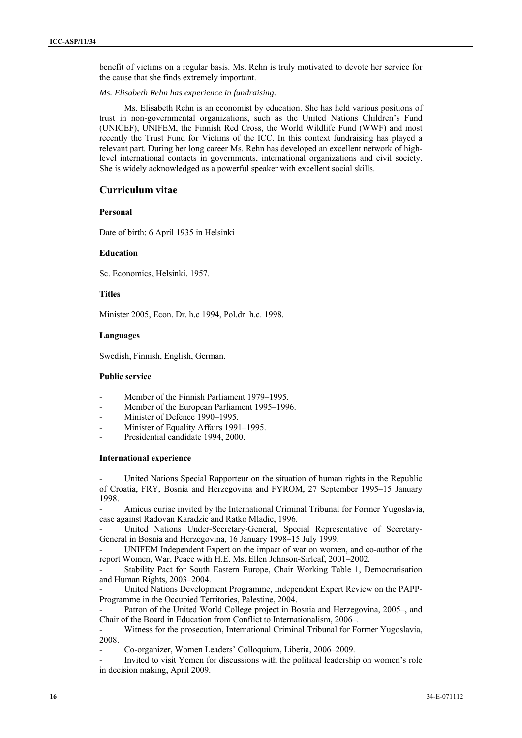benefit of victims on a regular basis. Ms. Rehn is truly motivated to devote her service for the cause that she finds extremely important.

*Ms. Elisabeth Rehn has experience in fundraising.* 

Ms. Elisabeth Rehn is an economist by education. She has held various positions of trust in non-governmental organizations, such as the United Nations Children's Fund (UNICEF), UNIFEM, the Finnish Red Cross, the World Wildlife Fund (WWF) and most recently the Trust Fund for Victims of the ICC. In this context fundraising has played a relevant part. During her long career Ms. Rehn has developed an excellent network of highlevel international contacts in governments, international organizations and civil society. She is widely acknowledged as a powerful speaker with excellent social skills.

## **Curriculum vitae**

## **Personal**

Date of birth: 6 April 1935 in Helsinki

## **Education**

Sc. Economics, Helsinki, 1957.

## **Titles**

Minister 2005, Econ. Dr. h.c 1994, Pol.dr. h.c. 1998.

## **Languages**

Swedish, Finnish, English, German.

## **Public service**

- Member of the Finnish Parliament 1979–1995.
- Member of the European Parliament 1995–1996.
- Minister of Defence 1990-1995.
- Minister of Equality Affairs 1991–1995.
- Presidential candidate 1994, 2000.

## **International experience**

United Nations Special Rapporteur on the situation of human rights in the Republic of Croatia, FRY, Bosnia and Herzegovina and FYROM, 27 September 1995–15 January 1998.

Amicus curiae invited by the International Criminal Tribunal for Former Yugoslavia, case against Radovan Karadzic and Ratko Mladic, 1996.

- United Nations Under-Secretary-General, Special Representative of Secretary-General in Bosnia and Herzegovina, 16 January 1998–15 July 1999.

UNIFEM Independent Expert on the impact of war on women, and co-author of the report Women, War, Peace with H.E. Ms. Ellen Johnson-Sirleaf, 2001–2002.

Stability Pact for South Eastern Europe, Chair Working Table 1, Democratisation and Human Rights, 2003–2004.

- United Nations Development Programme, Independent Expert Review on the PAPP-Programme in the Occupied Territories, Palestine, 2004.

Patron of the United World College project in Bosnia and Herzegovina, 2005–, and Chair of the Board in Education from Conflict to Internationalism, 2006–.

- Witness for the prosecution, International Criminal Tribunal for Former Yugoslavia, 2008.

- Co-organizer, Women Leaders' Colloquium, Liberia, 2006–2009.

Invited to visit Yemen for discussions with the political leadership on women's role in decision making, April 2009.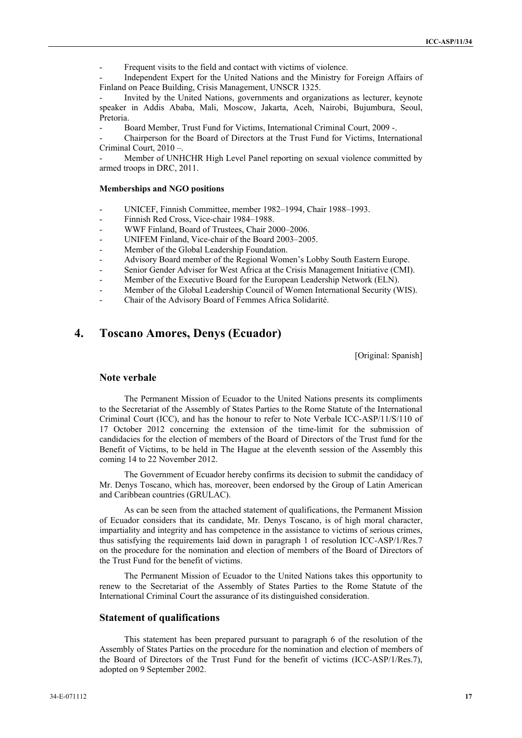Frequent visits to the field and contact with victims of violence.

Independent Expert for the United Nations and the Ministry for Foreign Affairs of Finland on Peace Building, Crisis Management, UNSCR 1325.

Invited by the United Nations, governments and organizations as lecturer, keynote speaker in Addis Ababa, Mali, Moscow, Jakarta, Aceh, Nairobi, Bujumbura, Seoul, Pretoria.

- Board Member, Trust Fund for Victims, International Criminal Court, 2009 -.

- Chairperson for the Board of Directors at the Trust Fund for Victims, International Criminal Court, 2010 –.

Member of UNHCHR High Level Panel reporting on sexual violence committed by armed troops in DRC, 2011.

## **Memberships and NGO positions**

- UNICEF, Finnish Committee, member 1982–1994, Chair 1988–1993.
- Finnish Red Cross, Vice-chair 1984–1988.
- WWF Finland, Board of Trustees, Chair 2000–2006.
- UNIFEM Finland, Vice-chair of the Board 2003–2005.
- Member of the Global Leadership Foundation.
- Advisory Board member of the Regional Women's Lobby South Eastern Europe.
- Senior Gender Adviser for West Africa at the Crisis Management Initiative (CMI).
- Member of the Executive Board for the European Leadership Network (ELN).
- Member of the Global Leadership Council of Women International Security (WIS).
- Chair of the Advisory Board of Femmes Africa Solidarité.

# **4. Toscano Amores, Denys (Ecuador)**

[Original: Spanish]

## **Note verbale**

The Permanent Mission of Ecuador to the United Nations presents its compliments to the Secretariat of the Assembly of States Parties to the Rome Statute of the International Criminal Court (ICC), and has the honour to refer to Note Verbale ICC-ASP/11/S/110 of 17 October 2012 concerning the extension of the time-limit for the submission of candidacies for the election of members of the Board of Directors of the Trust fund for the Benefit of Victims, to be held in The Hague at the eleventh session of the Assembly this coming 14 to 22 November 2012.

The Government of Ecuador hereby confirms its decision to submit the candidacy of Mr. Denys Toscano, which has, moreover, been endorsed by the Group of Latin American and Caribbean countries (GRULAC).

As can be seen from the attached statement of qualifications, the Permanent Mission of Ecuador considers that its candidate, Mr. Denys Toscano, is of high moral character, impartiality and integrity and has competence in the assistance to victims of serious crimes, thus satisfying the requirements laid down in paragraph 1 of resolution ICC-ASP/1/Res.7 on the procedure for the nomination and election of members of the Board of Directors of the Trust Fund for the benefit of victims.

The Permanent Mission of Ecuador to the United Nations takes this opportunity to renew to the Secretariat of the Assembly of States Parties to the Rome Statute of the International Criminal Court the assurance of its distinguished consideration.

## **Statement of qualifications**

This statement has been prepared pursuant to paragraph 6 of the resolution of the Assembly of States Parties on the procedure for the nomination and election of members of the Board of Directors of the Trust Fund for the benefit of victims (ICC-ASP/1/Res.7), adopted on 9 September 2002.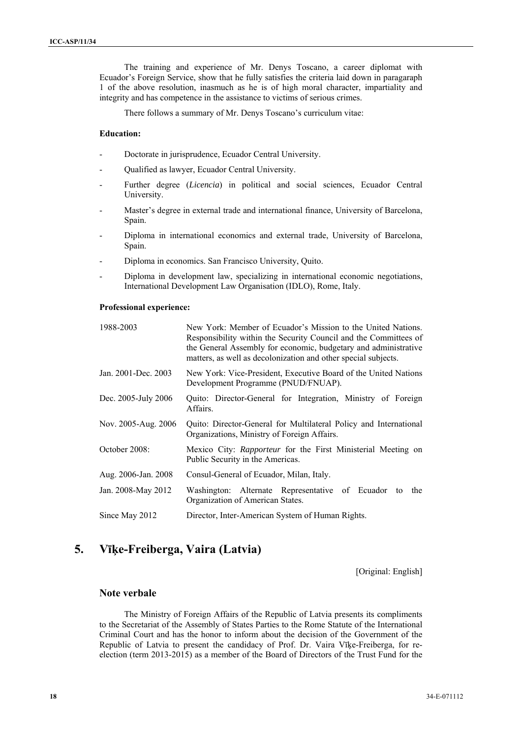The training and experience of Mr. Denys Toscano, a career diplomat with Ecuador's Foreign Service, show that he fully satisfies the criteria laid down in paragaraph 1 of the above resolution, inasmuch as he is of high moral character, impartiality and integrity and has competence in the assistance to victims of serious crimes.

There follows a summary of Mr. Denys Toscano's curriculum vitae:

## **Education:**

- Doctorate in jurisprudence, Ecuador Central University.
- Qualified as lawyer, Ecuador Central University.
- Further degree (*Licencia*) in political and social sciences, Ecuador Central University.
- Master's degree in external trade and international finance, University of Barcelona, Spain.
- Diploma in international economics and external trade, University of Barcelona, Spain.
- Diploma in economics. San Francisco University, Quito.
- Diploma in development law, specializing in international economic negotiations, International Development Law Organisation (IDLO), Rome, Italy.

#### **Professional experience:**

| 1988-2003           | New York: Member of Ecuador's Mission to the United Nations.<br>Responsibility within the Security Council and the Committees of<br>the General Assembly for economic, budgetary and administrative<br>matters, as well as decolonization and other special subjects. |
|---------------------|-----------------------------------------------------------------------------------------------------------------------------------------------------------------------------------------------------------------------------------------------------------------------|
| Jan. 2001-Dec. 2003 | New York: Vice-President, Executive Board of the United Nations<br>Development Programme (PNUD/FNUAP).                                                                                                                                                                |
| Dec. 2005-July 2006 | Quito: Director-General for Integration, Ministry of Foreign<br>Affairs.                                                                                                                                                                                              |
| Nov. 2005-Aug. 2006 | Quito: Director-General for Multilateral Policy and International<br>Organizations, Ministry of Foreign Affairs.                                                                                                                                                      |
| October 2008:       | Mexico City: <i>Rapporteur</i> for the First Ministerial Meeting on<br>Public Security in the Americas.                                                                                                                                                               |
| Aug. 2006-Jan. 2008 | Consul-General of Ecuador, Milan, Italy.                                                                                                                                                                                                                              |
| Jan. 2008-May 2012  | Washington: Alternate Representative of Ecuador<br>the<br>to<br>Organization of American States.                                                                                                                                                                      |
| Since May 2012      | Director, Inter-American System of Human Rights.                                                                                                                                                                                                                      |

# **5. Vīķe-Freiberga, Vaira (Latvia)**

[Original: English]

## **Note verbale**

The Ministry of Foreign Affairs of the Republic of Latvia presents its compliments to the Secretariat of the Assembly of States Parties to the Rome Statute of the International Criminal Court and has the honor to inform about the decision of the Government of the Republic of Latvia to present the candidacy of Prof. Dr. Vaira Vīķe-Freiberga, for reelection (term 2013-2015) as a member of the Board of Directors of the Trust Fund for the